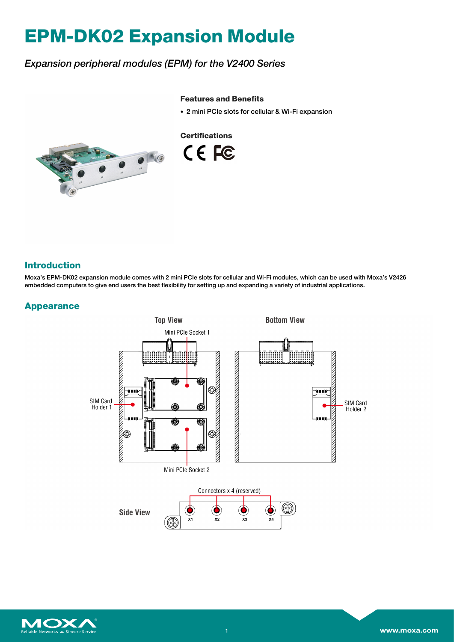# **EPM-DK02 Expansion Module**

# *Expansion peripheral modules (EPM) for the V2400 Series*

#### **Features and Benefits**

• 2 mini PCIe slots for cellular & Wi-Fi expansion



**Certifications** CE FC

## **Introduction**

Moxa's EPM-DK02 expansion module comes with 2 mini PCIe slots for cellular and Wi-Fi modules, which can be used with Moxa's V2426 embedded computers to give end users the best flexibility for setting up and expanding a variety of industrial applications.

### **Appearance**